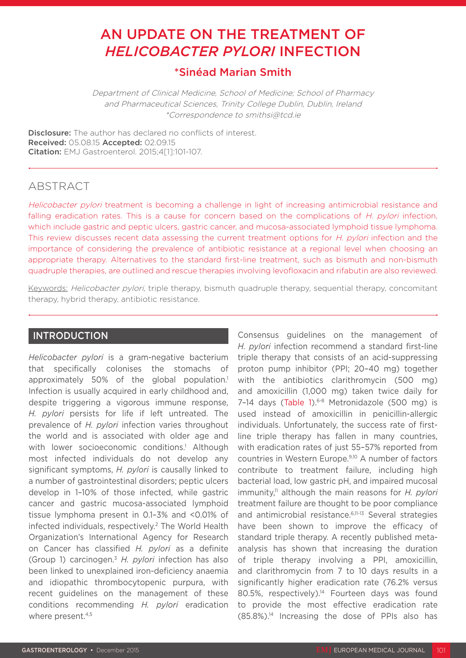# AN UPDATE ON THE TREATMENT OF *HELICOBACTER PYLORI* INFECTION

# \*Sinéad Marian Smith

Department of Clinical Medicine, School of Medicine; School of Pharmacy and Pharmaceutical Sciences, Trinity College Dublin, Dublin, Ireland \*Correspondence to smithsi@tcd.ie

**Disclosure:** The author has declared no conflicts of interest. Received: 05.08.15 Accepted: 02.09.15 Citation: EMJ Gastroenterol. 2015;4[1]:101-107.

# **ABSTRACT**

Helicobacter pylori treatment is becoming a challenge in light of increasing antimicrobial resistance and falling eradication rates. This is a cause for concern based on the complications of H. pylori infection, which include gastric and peptic ulcers, gastric cancer, and mucosa-associated lymphoid tissue lymphoma. This review discusses recent data assessing the current treatment options for H. pylori infection and the importance of considering the prevalence of antibiotic resistance at a regional level when choosing an appropriate therapy. Alternatives to the standard first-line treatment, such as bismuth and non-bismuth quadruple therapies, are outlined and rescue therapies involving levofloxacin and rifabutin are also reviewed.

Keywords: Helicobacter pylori, triple therapy, bismuth quadruple therapy, sequential therapy, concomitant therapy, hybrid therapy, antibiotic resistance.

## INTRODUCTION

*Helicobacter pylori* is a gram-negative bacterium that specifically colonises the stomachs of approximately 50% of the global population.<sup>1</sup> Infection is usually acquired in early childhood and, despite triggering a vigorous immune response, *H. pylori* persists for life if left untreated. The prevalence of *H. pylori* infection varies throughout the world and is associated with older age and with lower socioeconomic conditions.1 Although most infected individuals do not develop any significant symptoms, *H. pylori* is causally linked to a number of gastrointestinal disorders; peptic ulcers develop in 1–10% of those infected, while gastric cancer and gastric mucosa-associated lymphoid tissue lymphoma present in 0.1–3% and <0.01% of infected individuals, respectively.2 The World Health Organization's International Agency for Research on Cancer has classified *H. pylori* as a definite (Group 1) carcinogen.3 *H. pylori* infection has also been linked to unexplained iron-deficiency anaemia and idiopathic thrombocytopenic purpura, with recent guidelines on the management of these conditions recommending *H. pylori* eradication where present.<sup>4,5</sup>

Consensus guidelines on the management of *H. pylori* infection recommend a standard first-line triple therapy that consists of an acid-suppressing proton pump inhibitor (PPI; 20–40 mg) together with the antibiotics clarithromycin (500 mg) and amoxicillin (1,000 mg) taken twice daily for 7-14 days (Table 1).<sup>6-8</sup> Metronidazole (500 mg) is used instead of amoxicillin in penicillin-allergic individuals. Unfortunately, the success rate of firstline triple therapy has fallen in many countries, with eradication rates of just 55–57% reported from countries in Western Europe.9,10 A number of factors contribute to treatment failure, including high bacterial load, low gastric pH, and impaired mucosal immunity,11 although the main reasons for *H. pylori* treatment failure are thought to be poor compliance and antimicrobial resistance.<sup>6,11-13</sup> Several strategies have been shown to improve the efficacy of standard triple therapy. A recently published metaanalysis has shown that increasing the duration of triple therapy involving a PPI, amoxicillin, and clarithromycin from 7 to 10 days results in a significantly higher eradication rate (76.2% versus 80.5%, respectively).<sup>14</sup> Fourteen days was found to provide the most effective eradication rate  $(85.8\%)$ <sup>14</sup> Increasing the dose of PPIs also has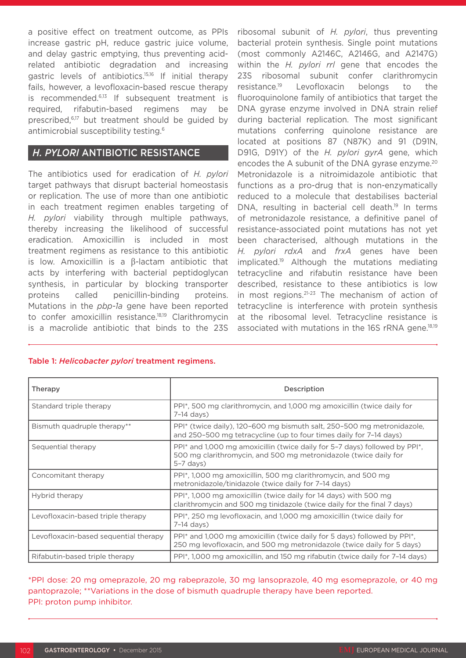a positive effect on treatment outcome, as PPIs increase gastric pH, reduce gastric juice volume, and delay gastric emptying, thus preventing acidrelated antibiotic degradation and increasing gastric levels of antibiotics.15,16 If initial therapy fails, however, a levofloxacin-based rescue therapy is recommended.6,13 If subsequent treatment is required, rifabutin-based regimens may be prescribed,<sup>6,17</sup> but treatment should be guided by antimicrobial susceptibility testing.<sup>6</sup>

## *H. PYLORI* ANTIBIOTIC RESISTANCE

The antibiotics used for eradication of *H. pylori*  target pathways that disrupt bacterial homeostasis or replication. The use of more than one antibiotic in each treatment regimen enables targeting of *H. pylori* viability through multiple pathways, thereby increasing the likelihood of successful eradication. Amoxicillin is included in most treatment regimens as resistance to this antibiotic is low. Amoxicillin is a β-lactam antibiotic that acts by interfering with bacterial peptidoglycan synthesis, in particular by blocking transporter proteins called penicillin-binding proteins. Mutations in the *pbp-1a* gene have been reported to confer amoxicillin resistance.<sup>18,19</sup> Clarithromycin is a macrolide antibiotic that binds to the 23S

ribosomal subunit of *H. pylori*, thus preventing bacterial protein synthesis. Single point mutations (most commonly A2146C, A2146G, and A2147G) within the *H. pylori rrl* gene that encodes the 23S ribosomal subunit confer clarithromycin resistance.19 Levofloxacin belongs to the fluoroquinolone family of antibiotics that target the DNA gyrase enzyme involved in DNA strain relief during bacterial replication. The most significant mutations conferring quinolone resistance are located at positions 87 (N87K) and 91 (D91N, D91G, D91Y) of the *H. pylori gyrA* gene, which encodes the A subunit of the DNA gyrase enzyme.<sup>20</sup> Metronidazole is a nitroimidazole antibiotic that functions as a pro-drug that is non-enzymatically reduced to a molecule that destabilises bacterial DNA, resulting in bacterial cell death.<sup>19</sup> In terms of metronidazole resistance, a definitive panel of resistance-associated point mutations has not yet been characterised, although mutations in the *H. pylori rdxA* and *frxA* genes have been implicated.19 Although the mutations mediating tetracycline and rifabutin resistance have been described, resistance to these antibiotics is low in most regions.21-23 The mechanism of action of tetracycline is interference with protein synthesis at the ribosomal level. Tetracycline resistance is associated with mutations in the 16S rRNA gene.18,19

## Therapy **Description** Standard triple therapy PPI<sup>\*</sup>, 500 mg clarithromycin, and 1,000 mg amoxicillin (twice daily for 7–14 days) Bismuth quadruple therapy\*\* PPI\* (twice daily), 120–600 mg bismuth salt, 250–500 mg metronidazole, and 250–500 mg tetracycline (up to four times daily for 7–14 days) Sequential therapy **PPI**\* and 1,000 mg amoxicillin (twice daily for 5-7 days) followed by PPI<sup>\*</sup>, 500 mg clarithromycin, and 500 mg metronidazole (twice daily for 5–7 days) Concomitant therapy PPI\*, 1,000 mg amoxicillin, 500 mg clarithromycin, and 500 mg metronidazole/tinidazole (twice daily for 7–14 days) Hybrid therapy **PPI<sup>\*</sup>, 1,000 mg amoxicillin (twice daily for 14 days) with 500 mg** clarithromycin and 500 mg tinidazole (twice daily for the final 7 days) Levofloxacin-based triple therapy PPI<sup>\*</sup>, 250 mg levofloxacin, and 1,000 mg amoxicillin (twice daily for 7–14 days) Levofloxacin-based sequential therapy  $\Box$  PPI\* and 1,000 mg amoxicillin (twice daily for 5 days) followed by PPI\*, 250 mg levofloxacin, and 500 mg metronidazole (twice daily for 5 days) Rifabutin-based triple therapy  $\left\{ \text{PPI}^*, 1,000 \text{ mg amoxicillin}, \text{and } 150 \text{ mg rifabutin (twice daily for 7–14 days)} \right\}$

Table 1: *Helicobacter pylori* treatment regimens.

\*PPI dose: 20 mg omeprazole, 20 mg rabeprazole, 30 mg lansoprazole, 40 mg esomeprazole, or 40 mg pantoprazole; \*\*Variations in the dose of bismuth quadruple therapy have been reported. PPI: proton pump inhibitor.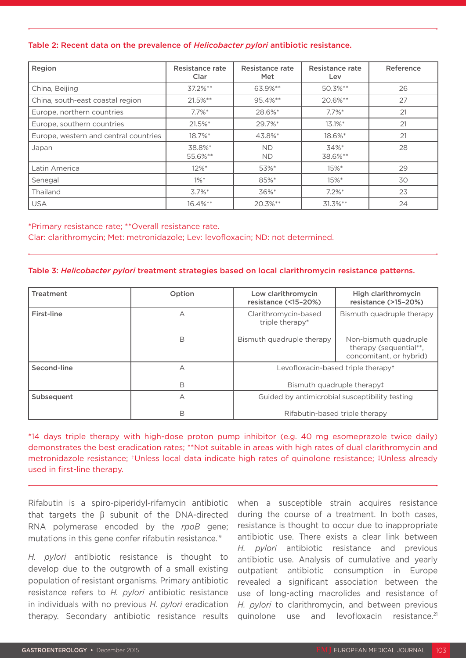#### Table 2: Recent data on the prevalence of *Helicobacter pylori* antibiotic resistance.

| Region                                | Resistance rate<br>Clar | Resistance rate<br>Met | Resistance rate<br>Lev | Reference |
|---------------------------------------|-------------------------|------------------------|------------------------|-----------|
| China, Beijing                        | $37.2\%**$              | 63.9%**                | 50.3%**                | 26        |
| China, south-east coastal region      | $21.5%$ **              | 95.4%**                | 20.6%**                | 27        |
| Europe, northern countries            | $7.7\%$ <sup>*</sup>    | 28.6%*                 | $7.7\%$ *              | 21        |
| Europe, southern countries            | $21.5%$ *               | 29.7%*                 | $13.1\%$ *             | 21        |
| Europe, western and central countries | 18.7%*                  | 43.8%*                 | 18.6%*                 | 21        |
| Japan                                 | 38.8%*<br>55.6%**       | <b>ND</b><br><b>ND</b> | 34%*<br>38.6%**        | 28        |
| Latin America                         | $12\%$ <sup>*</sup>     | 53%*                   | $15\%$ *               | 29        |
| Senegal                               | $1\%$ *                 | 85%*                   | $15\%$ *               | 30        |
| Thailand                              | $3.7\%$ *               | 36%*                   | $7.2\%$ *              | 23        |
| <b>USA</b>                            | $16.4\%**$              | $20.3%$ **             | $31.3\%**$             | 24        |

\*Primary resistance rate; \*\*Overall resistance rate.

Clar: clarithromycin; Met: metronidazole; Lev: levofloxacin; ND: not determined.

#### Table 3: *Helicobacter pylori* treatment strategies based on local clarithromycin resistance patterns.

| <b>Treatment</b> | Option | Low clarithromycin<br>resistance (<15-20%)                                       | High clarithromycin<br>resistance (>15-20%)                                |
|------------------|--------|----------------------------------------------------------------------------------|----------------------------------------------------------------------------|
| First-line       | A      | Clarithromycin-based<br>triple therapy*                                          | Bismuth quadruple therapy                                                  |
|                  | В      | Bismuth quadruple therapy                                                        | Non-bismuth quadruple<br>therapy (sequential**,<br>concomitant, or hybrid) |
| Second-line      | А      | Levofloxacin-based triple therapy <sup>+</sup>                                   |                                                                            |
|                  | В      | Bismuth quadruple therapy!                                                       |                                                                            |
| Subsequent       | А      | Guided by antimicrobial susceptibility testing<br>Rifabutin-based triple therapy |                                                                            |
|                  | В      |                                                                                  |                                                                            |

\*14 days triple therapy with high-dose proton pump inhibitor (e.g. 40 mg esomeprazole twice daily) demonstrates the best eradication rates; \*\*Not suitable in areas with high rates of dual clarithromycin and metronidazole resistance; †Unless local data indicate high rates of quinolone resistance; ‡Unless already used in first-line therapy.

Rifabutin is a spiro-piperidyl-rifamycin antibiotic that targets the  $β$  subunit of the DNA-directed RNA polymerase encoded by the *rpoB* gene; mutations in this gene confer rifabutin resistance.<sup>19</sup>

*H. pylori* antibiotic resistance is thought to develop due to the outgrowth of a small existing population of resistant organisms. Primary antibiotic resistance refers to *H. pylori* antibiotic resistance in individuals with no previous *H. pylori* eradication therapy. Secondary antibiotic resistance results when a susceptible strain acquires resistance during the course of a treatment. In both cases, resistance is thought to occur due to inappropriate antibiotic use. There exists a clear link between *H. pylori* antibiotic resistance and previous antibiotic use. Analysis of cumulative and yearly outpatient antibiotic consumption in Europe revealed a significant association between the use of long-acting macrolides and resistance of *H. pylori* to clarithromycin, and between previous quinolone use and levofloxacin resistance.<sup>21</sup>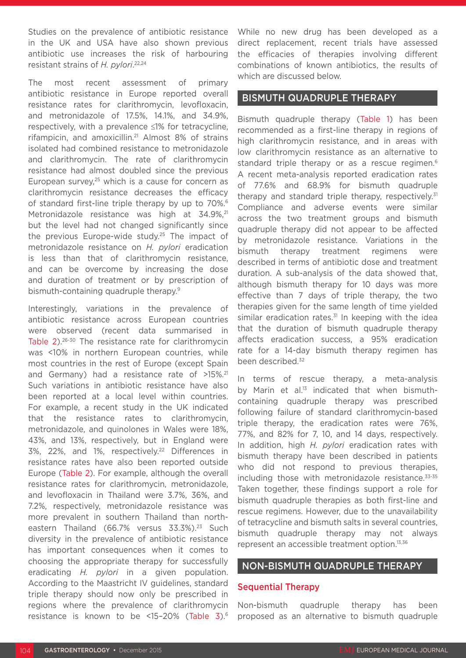Studies on the prevalence of antibiotic resistance in the UK and USA have also shown previous antibiotic use increases the risk of harbouring resistant strains of *H. pylori*. 22,24

The most recent assessment of primary antibiotic resistance in Europe reported overall resistance rates for clarithromycin, levofloxacin, and metronidazole of 17.5%, 14.1%, and 34.9%, respectively, with a prevalence ≤1% for tetracycline, rifampicin, and amoxicillin.21 Almost 8% of strains isolated had combined resistance to metronidazole and clarithromycin. The rate of clarithromycin resistance had almost doubled since the previous European survey, $25$  which is a cause for concern as clarithromycin resistance decreases the efficacy of standard first-line triple therapy by up to 70%.<sup>6</sup> Metronidazole resistance was high at 34.9%,<sup>21</sup> but the level had not changed significantly since the previous Europe-wide study.<sup>25</sup> The impact of metronidazole resistance on *H. pylori* eradication is less than that of clarithromycin resistance, and can be overcome by increasing the dose and duration of treatment or by prescription of bismuth-containing quadruple therapy.9

Interestingly, variations in the prevalence of antibiotic resistance across European countries were observed (recent data summarised in Table 2).26-30 The resistance rate for clarithromycin was <10% in northern European countries, while most countries in the rest of Europe (except Spain and Germany) had a resistance rate of >15%.<sup>21</sup> Such variations in antibiotic resistance have also been reported at a local level within countries. For example, a recent study in the UK indicated that the resistance rates to clarithromycin, metronidazole, and quinolones in Wales were 18%, 43%, and 13%, respectively, but in England were 3%, 22%, and 1%, respectively.22 Differences in resistance rates have also been reported outside Europe (Table 2). For example, although the overall resistance rates for clarithromycin, metronidazole, and levofloxacin in Thailand were 3.7%, 36%, and 7.2%, respectively, metronidazole resistance was more prevalent in southern Thailand than northeastern Thailand (66.7% versus 33.3%).<sup>23</sup> Such diversity in the prevalence of antibiotic resistance has important consequences when it comes to choosing the appropriate therapy for successfully eradicating *H. pylori* in a given population. According to the Maastricht IV guidelines, standard triple therapy should now only be prescribed in regions where the prevalence of clarithromycin resistance is known to be <15–20% (Table 3).6

While no new drug has been developed as a direct replacement, recent trials have assessed the efficacies of therapies involving different combinations of known antibiotics, the results of which are discussed below.

## BISMUTH QUADRUPLE THERAPY

Bismuth quadruple therapy (Table 1) has been recommended as a first-line therapy in regions of high clarithromycin resistance, and in areas with low clarithromycin resistance as an alternative to standard triple therapy or as a rescue regimen.<sup>6</sup> A recent meta-analysis reported eradication rates of 77.6% and 68.9% for bismuth quadruple therapy and standard triple therapy, respectively. $31$ Compliance and adverse events were similar across the two treatment groups and bismuth quadruple therapy did not appear to be affected by metronidazole resistance. Variations in the bismuth therapy treatment regimens were described in terms of antibiotic dose and treatment duration. A sub-analysis of the data showed that, although bismuth therapy for 10 days was more effective than 7 days of triple therapy, the two therapies given for the same length of time yielded similar eradication rates. $31$  In keeping with the idea that the duration of bismuth quadruple therapy affects eradication success, a 95% eradication rate for a 14-day bismuth therapy regimen has been described.<sup>32</sup>

In terms of rescue therapy, a meta-analysis by Marin et al.<sup>13</sup> indicated that when bismuthcontaining quadruple therapy was prescribed following failure of standard clarithromycin-based triple therapy, the eradication rates were 76%, 77%, and 82% for 7, 10, and 14 days, respectively. In addition, high *H. pylori* eradication rates with bismuth therapy have been described in patients who did not respond to previous therapies. including those with metronidazole resistance.33-35 Taken together, these findings support a role for bismuth quadruple therapies as both first-line and rescue regimens. However, due to the unavailability of tetracycline and bismuth salts in several countries, bismuth quadruple therapy may not always represent an accessible treatment option.13,36

## NON-BISMUTH QUADRUPLE THERAPY

#### Sequential Therapy

Non-bismuth quadruple therapy has been proposed as an alternative to bismuth quadruple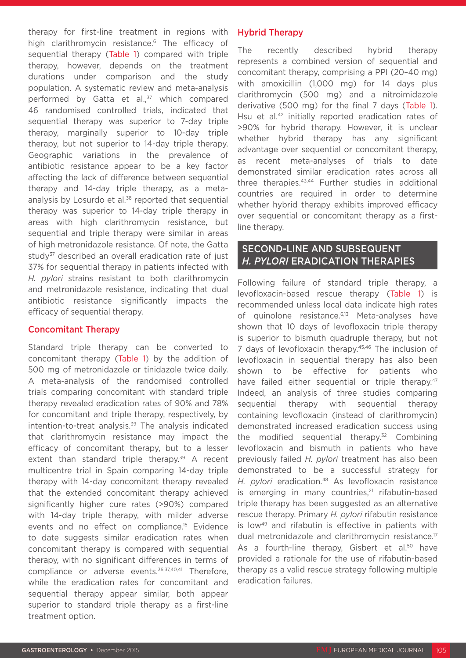therapy for first-line treatment in regions with high clarithromycin resistance.<sup>6</sup> The efficacy of sequential therapy (Table 1) compared with triple therapy, however, depends on the treatment durations under comparison and the study population. A systematic review and meta-analysis performed by Gatta et al.,<sup>37</sup> which compared 46 randomised controlled trials, indicated that sequential therapy was superior to 7-day triple therapy, marginally superior to 10-day triple therapy, but not superior to 14-day triple therapy. Geographic variations in the prevalence of antibiotic resistance appear to be a key factor affecting the lack of difference between sequential therapy and 14-day triple therapy, as a metaanalysis by Losurdo et al.<sup>38</sup> reported that sequential therapy was superior to 14-day triple therapy in areas with high clarithromycin resistance, but sequential and triple therapy were similar in areas of high metronidazole resistance. Of note, the Gatta study<sup>37</sup> described an overall eradication rate of just 37% for sequential therapy in patients infected with *H. pylori* strains resistant to both clarithromycin and metronidazole resistance, indicating that dual antibiotic resistance significantly impacts the efficacy of sequential therapy.

#### Concomitant Therapy

Standard triple therapy can be converted to concomitant therapy (Table 1) by the addition of 500 mg of metronidazole or tinidazole twice daily. A meta-analysis of the randomised controlled trials comparing concomitant with standard triple therapy revealed eradication rates of 90% and 78% for concomitant and triple therapy, respectively, by intention-to-treat analysis.39 The analysis indicated that clarithromycin resistance may impact the efficacy of concomitant therapy, but to a lesser extent than standard triple therapy.<sup>39</sup> A recent multicentre trial in Spain comparing 14-day triple therapy with 14-day concomitant therapy revealed that the extended concomitant therapy achieved significantly higher cure rates (>90%) compared with 14-day triple therapy, with milder adverse events and no effect on compliance.<sup>15</sup> Evidence to date suggests similar eradication rates when concomitant therapy is compared with sequential therapy, with no significant differences in terms of compliance or adverse events.<sup>36,37,40,41</sup> Therefore. while the eradication rates for concomitant and sequential therapy appear similar, both appear superior to standard triple therapy as a first-line treatment option.

#### Hybrid Therapy

The recently described hybrid therapy represents a combined version of sequential and concomitant therapy, comprising a PPI (20–40 mg) with amoxicillin (1,000 mg) for 14 days plus clarithromycin (500 mg) and a nitroimidazole derivative (500 mg) for the final 7 days (Table 1). Hsu et al.<sup>42</sup> initially reported eradication rates of >90% for hybrid therapy. However, it is unclear whether hybrid therapy has any significant advantage over sequential or concomitant therapy, as recent meta-analyses of trials to date demonstrated similar eradication rates across all three therapies.43,44 Further studies in additional countries are required in order to determine whether hybrid therapy exhibits improved efficacy over sequential or concomitant therapy as a firstline therapy.

## SECOND-LINE AND SUBSEQUENT *H. PYLORI* ERADICATION THERAPIES

Following failure of standard triple therapy, a levofloxacin-based rescue therapy (Table 1) is recommended unless local data indicate high rates of quinolone resistance.<sup>6,13</sup> Meta-analyses have shown that 10 days of levofloxacin triple therapy is superior to bismuth quadruple therapy, but not 7 days of levofloxacin therapy.<sup>45,46</sup> The inclusion of levofloxacin in sequential therapy has also been shown to be effective for patients who have failed either sequential or triple therapy.<sup>47</sup> Indeed, an analysis of three studies comparing sequential therapy with sequential therapy containing levofloxacin (instead of clarithromycin) demonstrated increased eradication success using the modified sequential therapy.<sup>32</sup> Combining levofloxacin and bismuth in patients who have previously failed *H. pylori* treatment has also been demonstrated to be a successful strategy for *H. pylori* eradication.48 As levofloxacin resistance is emerging in many countries.<sup>21</sup> rifabutin-based triple therapy has been suggested as an alternative rescue therapy. Primary *H. pylori* rifabutin resistance is low<sup>49</sup> and rifabutin is effective in patients with dual metronidazole and clarithromycin resistance.<sup>17</sup> As a fourth-line therapy, Gisbert et al.<sup>50</sup> have provided a rationale for the use of rifabutin-based therapy as a valid rescue strategy following multiple eradication failures.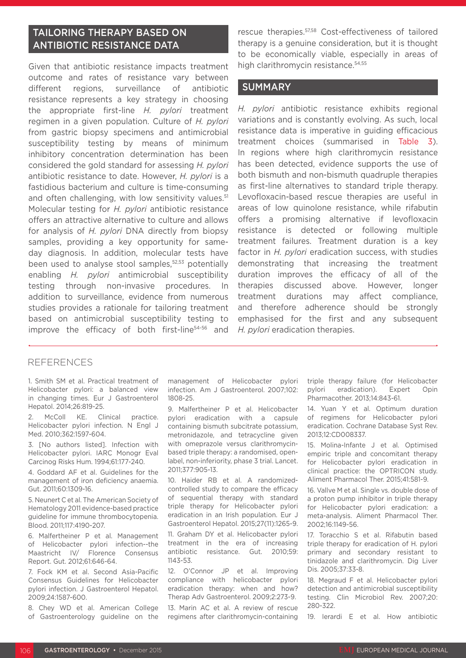# TAILORING THERAPY BASED ON ANTIBIOTIC RESISTANCE DATA

Given that antibiotic resistance impacts treatment outcome and rates of resistance vary between different regions, surveillance of antibiotic resistance represents a key strategy in choosing the appropriate first-line *H. pylori* treatment regimen in a given population. Culture of *H. pylori*  from gastric biopsy specimens and antimicrobial susceptibility testing by means of minimum inhibitory concentration determination has been considered the gold standard for assessing *H. pylori* antibiotic resistance to date. However, *H. pylori* is a fastidious bacterium and culture is time-consuming and often challenging, with low sensitivity values.<sup>51</sup> Molecular testing for *H. pylori* antibiotic resistance offers an attractive alternative to culture and allows for analysis of *H. pylori* DNA directly from biopsy samples, providing a key opportunity for sameday diagnosis. In addition, molecular tests have been used to analyse stool samples,<sup>52,53</sup> potentially enabling *H. pylori* antimicrobial susceptibility testing through non-invasive procedures. In addition to surveillance, evidence from numerous studies provides a rationale for tailoring treatment based on antimicrobial susceptibility testing to improve the efficacy of both first-line<sup>54-56</sup> and

rescue therapies.57,58 Cost-effectiveness of tailored therapy is a genuine consideration, but it is thought to be economically viable, especially in areas of high clarithromycin resistance.<sup>54,55</sup>

#### SUMMARY

*H. pylori* antibiotic resistance exhibits regional variations and is constantly evolving. As such, local resistance data is imperative in guiding efficacious treatment choices (summarised in Table 3). In regions where high clarithromycin resistance has been detected, evidence supports the use of both bismuth and non-bismuth quadruple therapies as first-line alternatives to standard triple therapy. Levofloxacin-based rescue therapies are useful in areas of low quinolone resistance, while rifabutin offers a promising alternative if levofloxacin resistance is detected or following multiple treatment failures. Treatment duration is a key factor in *H. pylori* eradication success, with studies demonstrating that increasing the treatment duration improves the efficacy of all of the therapies discussed above. However, longer treatment durations may affect compliance, and therefore adherence should be strongly emphasised for the first and any subsequent *H. pylori* eradication therapies.

#### REFERENCES

1. Smith SM et al. Practical treatment of Helicobacter pylori: a balanced view in changing times. Eur J Gastroenterol Hepatol. 2014;26:819-25.

2. McColl KE. Clinical practice. Helicobacter pylori infection. N Engl J Med. 2010;362:1597-604.

3. [No authors listed]. Infection with Helicobacter pylori. IARC Monogr Eval Carcinog Risks Hum. 1994;61:177-240.

4. Goddard AF et al. Guidelines for the management of iron deficiency anaemia. Gut. 2011;60:1309-16.

5. Neunert C et al. The American Society of Hematology 2011 evidence-based practice guideline for immune thrombocytopenia. Blood. 2011;117:4190-207.

6. Malfertheiner P et al. Management of Helicobacter pylori infection--the Maastricht IV/ Florence Consensus Report. Gut. 2012;61:646-64.

7. Fock KM et al. Second Asia-Pacific Consensus Guidelines for Helicobacter pylori infection. J Gastroenterol Hepatol. 2009;24:1587-600.

8. Chey WD et al. American College of Gastroenterology guideline on the management of Helicobacter pylori infection. Am J Gastroenterol. 2007;102: 1808-25.

9. Malfertheiner P et al. Helicobacter pylori eradication with a capsule containing bismuth subcitrate potassium, metronidazole, and tetracycline given with omeprazole versus clarithromycinbased triple therapy: a randomised, openlabel, non-inferiority, phase 3 trial. Lancet. 2011;377:905-13.

10. Haider RB et al. A randomizedcontrolled study to compare the efficacy of sequential therapy with standard triple therapy for Helicobacter pylori eradication in an Irish population. Eur J Gastroenterol Hepatol. 2015;27(11):1265-9.

11. Graham DY et al. Helicobacter pylori treatment in the era of increasing antibiotic resistance. Gut. 2010;59: 1143-53.

12. O'Connor JP et al. Improving compliance with helicobacter pylori eradication therapy: when and how? Therap Adv Gastroenterol. 2009;2:273-9.

13. Marin AC et al. A review of rescue regimens after clarithromycin-containing triple therapy failure (for Helicobacter pylori eradication). Expert Opin Pharmacother. 2013;14:843-61.

14. Yuan Y et al. Optimum duration of regimens for Helicobacter pylori eradication. Cochrane Database Syst Rev. 2013;12:CD008337.

15. Molina-Infante J et al. Optimised empiric triple and concomitant therapy for Helicobacter pylori eradication in clinical practice: the OPTRICON study. Aliment Pharmacol Ther. 2015;41:581-9.

16. Vallve M et al. Single vs. double dose of a proton pump inhibitor in triple therapy for Helicobacter pylori eradication: a meta-analysis. Aliment Pharmacol Ther. 2002;16:1149-56.

17. Toracchio S et al. Rifabutin based triple therapy for eradication of H. pylori primary and secondary resistant to tinidazole and clarithromycin. Dig Liver Dis. 2005;37:33-8.

18. Megraud F et al. Helicobacter pylori detection and antimicrobial susceptibility testing. Clin Microbiol Rev. 2007;20: 280-322.

19. Ierardi E et al. How antibiotic